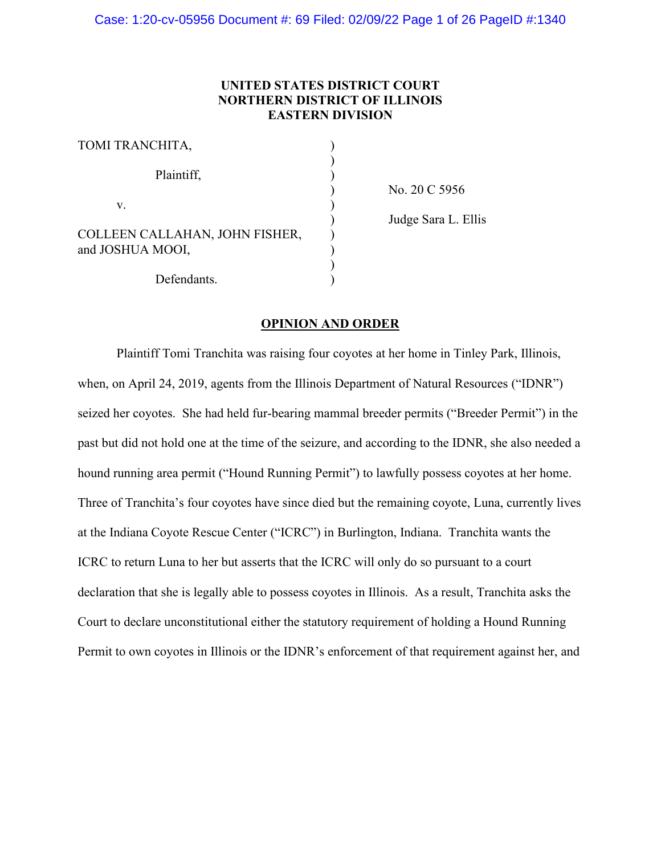# **UNITED STATES DISTRICT COURT NORTHERN DISTRICT OF ILLINOIS EASTERN DIVISION**

| TOMI TRANCHITA,                                    |  |
|----------------------------------------------------|--|
| Plaintiff,                                         |  |
| $V_{\cdot}$                                        |  |
| COLLEEN CALLAHAN, JOHN FISHER,<br>and JOSHUA MOOI, |  |
| Defendants.                                        |  |

) No. 20 C 5956

) Judge Sara L. Ellis

## **OPINION AND ORDER**

Plaintiff Tomi Tranchita was raising four coyotes at her home in Tinley Park, Illinois, when, on April 24, 2019, agents from the Illinois Department of Natural Resources ("IDNR") seized her coyotes. She had held fur-bearing mammal breeder permits ("Breeder Permit") in the past but did not hold one at the time of the seizure, and according to the IDNR, she also needed a hound running area permit ("Hound Running Permit") to lawfully possess coyotes at her home. Three of Tranchita's four coyotes have since died but the remaining coyote, Luna, currently lives at the Indiana Coyote Rescue Center ("ICRC") in Burlington, Indiana. Tranchita wants the ICRC to return Luna to her but asserts that the ICRC will only do so pursuant to a court declaration that she is legally able to possess coyotes in Illinois. As a result, Tranchita asks the Court to declare unconstitutional either the statutory requirement of holding a Hound Running Permit to own coyotes in Illinois or the IDNR's enforcement of that requirement against her, and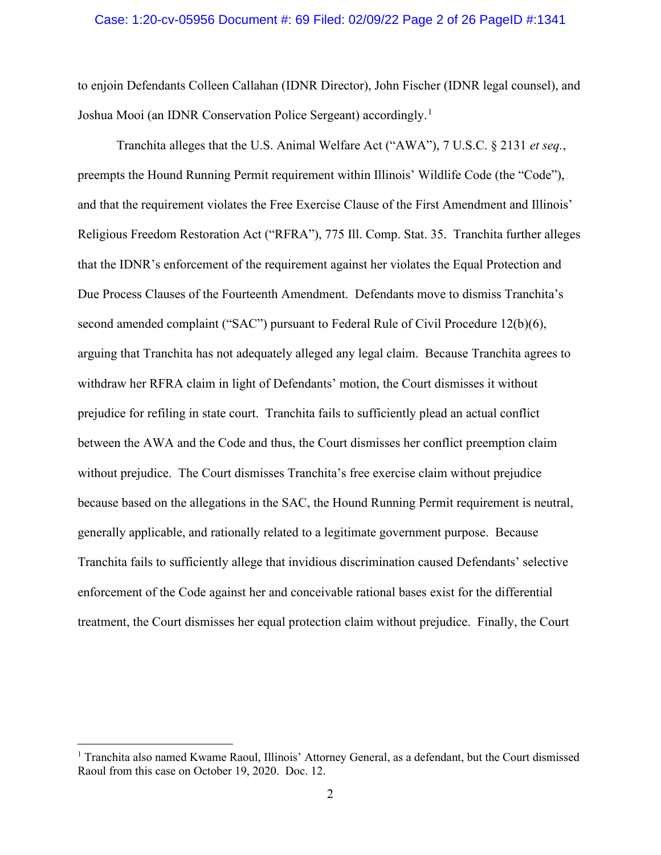## Case: 1:20-cv-05956 Document #: 69 Filed: 02/09/22 Page 2 of 26 PageID #:1341

to enjoin Defendants Colleen Callahan (IDNR Director), John Fischer (IDNR legal counsel), and Joshua Mooi (an IDNR Conservation Police Sergeant) accordingly.<sup>[1](#page-1-0)</sup>

Tranchita alleges that the U.S. Animal Welfare Act ("AWA"), 7 U.S.C. § 2131 *et seq.*, preempts the Hound Running Permit requirement within Illinois' Wildlife Code (the "Code"), and that the requirement violates the Free Exercise Clause of the First Amendment and Illinois' Religious Freedom Restoration Act ("RFRA"), 775 Ill. Comp. Stat. 35. Tranchita further alleges that the IDNR's enforcement of the requirement against her violates the Equal Protection and Due Process Clauses of the Fourteenth Amendment. Defendants move to dismiss Tranchita's second amended complaint ("SAC") pursuant to Federal Rule of Civil Procedure 12(b)(6), arguing that Tranchita has not adequately alleged any legal claim. Because Tranchita agrees to withdraw her RFRA claim in light of Defendants' motion, the Court dismisses it without prejudice for refiling in state court. Tranchita fails to sufficiently plead an actual conflict between the AWA and the Code and thus, the Court dismisses her conflict preemption claim without prejudice. The Court dismisses Tranchita's free exercise claim without prejudice because based on the allegations in the SAC, the Hound Running Permit requirement is neutral, generally applicable, and rationally related to a legitimate government purpose. Because Tranchita fails to sufficiently allege that invidious discrimination caused Defendants' selective enforcement of the Code against her and conceivable rational bases exist for the differential treatment, the Court dismisses her equal protection claim without prejudice. Finally, the Court

<span id="page-1-0"></span><sup>&</sup>lt;sup>1</sup> Tranchita also named Kwame Raoul, Illinois' Attorney General, as a defendant, but the Court dismissed Raoul from this case on October 19, 2020. Doc. 12.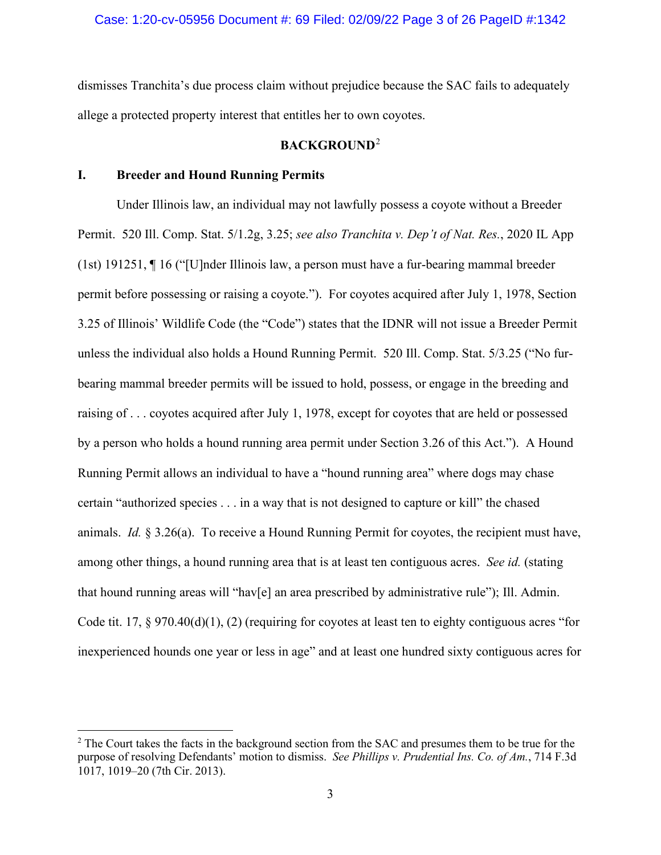dismisses Tranchita's due process claim without prejudice because the SAC fails to adequately allege a protected property interest that entitles her to own coyotes.

# **BACKGROUND**[2](#page-2-0)

# **I. Breeder and Hound Running Permits**

Under Illinois law, an individual may not lawfully possess a coyote without a Breeder Permit. 520 Ill. Comp. Stat. 5/1.2g, 3.25; *see also Tranchita v. Dep't of Nat. Res.*, 2020 IL App (1st) 191251, ¶ 16 ("[U]nder Illinois law, a person must have a fur-bearing mammal breeder permit before possessing or raising a coyote."). For coyotes acquired after July 1, 1978, Section 3.25 of Illinois' Wildlife Code (the "Code") states that the IDNR will not issue a Breeder Permit unless the individual also holds a Hound Running Permit. 520 Ill. Comp. Stat. 5/3.25 ("No furbearing mammal breeder permits will be issued to hold, possess, or engage in the breeding and raising of . . . coyotes acquired after July 1, 1978, except for coyotes that are held or possessed by a person who holds a hound running area permit under Section 3.26 of this Act."). A Hound Running Permit allows an individual to have a "hound running area" where dogs may chase certain "authorized species . . . in a way that is not designed to capture or kill" the chased animals. *Id.* § 3.26(a). To receive a Hound Running Permit for coyotes, the recipient must have, among other things, a hound running area that is at least ten contiguous acres. *See id.* (stating that hound running areas will "hav[e] an area prescribed by administrative rule"); Ill. Admin. Code tit. 17, § 970.40(d)(1), (2) (requiring for coyotes at least ten to eighty contiguous acres "for inexperienced hounds one year or less in age" and at least one hundred sixty contiguous acres for

<span id="page-2-0"></span><sup>&</sup>lt;sup>2</sup> The Court takes the facts in the background section from the SAC and presumes them to be true for the purpose of resolving Defendants' motion to dismiss. *See Phillips v. Prudential Ins. Co. of Am.*, 714 F.3d 1017, 1019–20 (7th Cir. 2013).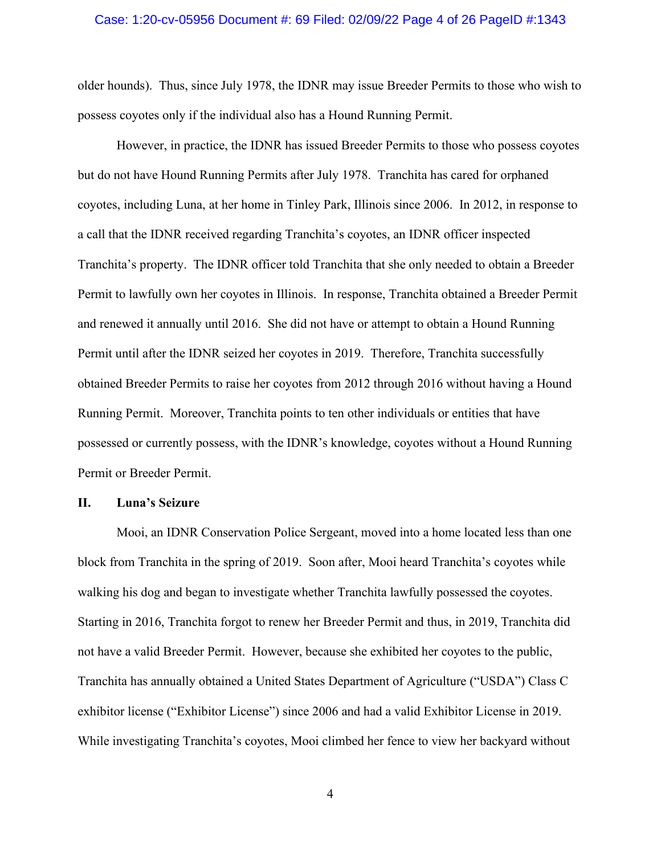## Case: 1:20-cv-05956 Document #: 69 Filed: 02/09/22 Page 4 of 26 PageID #:1343

older hounds). Thus, since July 1978, the IDNR may issue Breeder Permits to those who wish to possess coyotes only if the individual also has a Hound Running Permit.

However, in practice, the IDNR has issued Breeder Permits to those who possess coyotes but do not have Hound Running Permits after July 1978. Tranchita has cared for orphaned coyotes, including Luna, at her home in Tinley Park, Illinois since 2006. In 2012, in response to a call that the IDNR received regarding Tranchita's coyotes, an IDNR officer inspected Tranchita's property. The IDNR officer told Tranchita that she only needed to obtain a Breeder Permit to lawfully own her coyotes in Illinois. In response, Tranchita obtained a Breeder Permit and renewed it annually until 2016. She did not have or attempt to obtain a Hound Running Permit until after the IDNR seized her coyotes in 2019. Therefore, Tranchita successfully obtained Breeder Permits to raise her coyotes from 2012 through 2016 without having a Hound Running Permit. Moreover, Tranchita points to ten other individuals or entities that have possessed or currently possess, with the IDNR's knowledge, coyotes without a Hound Running Permit or Breeder Permit.

#### **II. Luna's Seizure**

Mooi, an IDNR Conservation Police Sergeant, moved into a home located less than one block from Tranchita in the spring of 2019. Soon after, Mooi heard Tranchita's coyotes while walking his dog and began to investigate whether Tranchita lawfully possessed the coyotes. Starting in 2016, Tranchita forgot to renew her Breeder Permit and thus, in 2019, Tranchita did not have a valid Breeder Permit. However, because she exhibited her coyotes to the public, Tranchita has annually obtained a United States Department of Agriculture ("USDA") Class C exhibitor license ("Exhibitor License") since 2006 and had a valid Exhibitor License in 2019. While investigating Tranchita's coyotes, Mooi climbed her fence to view her backyard without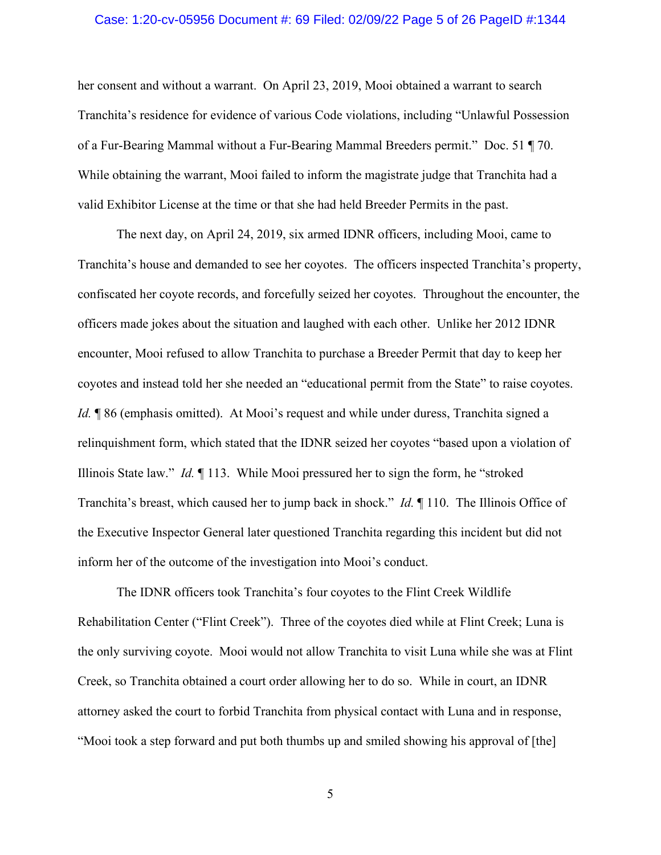## Case: 1:20-cv-05956 Document #: 69 Filed: 02/09/22 Page 5 of 26 PageID #:1344

her consent and without a warrant. On April 23, 2019, Mooi obtained a warrant to search Tranchita's residence for evidence of various Code violations, including "Unlawful Possession of a Fur-Bearing Mammal without a Fur-Bearing Mammal Breeders permit." Doc. 51 ¶ 70. While obtaining the warrant, Mooi failed to inform the magistrate judge that Tranchita had a valid Exhibitor License at the time or that she had held Breeder Permits in the past.

The next day, on April 24, 2019, six armed IDNR officers, including Mooi, came to Tranchita's house and demanded to see her coyotes. The officers inspected Tranchita's property, confiscated her coyote records, and forcefully seized her coyotes. Throughout the encounter, the officers made jokes about the situation and laughed with each other. Unlike her 2012 IDNR encounter, Mooi refused to allow Tranchita to purchase a Breeder Permit that day to keep her coyotes and instead told her she needed an "educational permit from the State" to raise coyotes. *Id.* **[86** (emphasis omitted). At Mooi's request and while under duress, Tranchita signed a relinquishment form, which stated that the IDNR seized her coyotes "based upon a violation of Illinois State law." *Id.* ¶ 113. While Mooi pressured her to sign the form, he "stroked Tranchita's breast, which caused her to jump back in shock." *Id.* ¶ 110. The Illinois Office of the Executive Inspector General later questioned Tranchita regarding this incident but did not inform her of the outcome of the investigation into Mooi's conduct.

The IDNR officers took Tranchita's four coyotes to the Flint Creek Wildlife Rehabilitation Center ("Flint Creek"). Three of the coyotes died while at Flint Creek; Luna is the only surviving coyote. Mooi would not allow Tranchita to visit Luna while she was at Flint Creek, so Tranchita obtained a court order allowing her to do so. While in court, an IDNR attorney asked the court to forbid Tranchita from physical contact with Luna and in response, "Mooi took a step forward and put both thumbs up and smiled showing his approval of [the]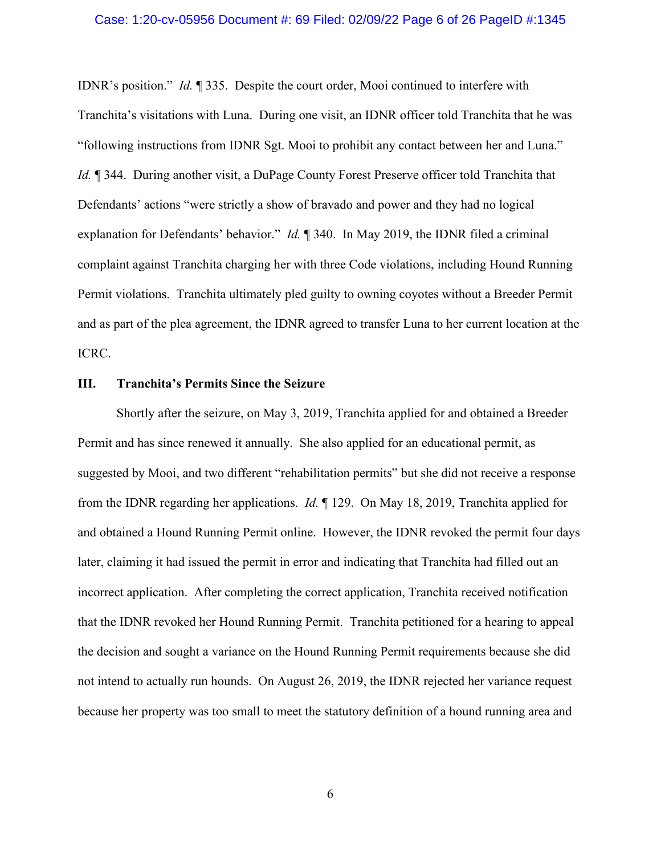IDNR's position." *Id.* ¶ 335. Despite the court order, Mooi continued to interfere with Tranchita's visitations with Luna. During one visit, an IDNR officer told Tranchita that he was "following instructions from IDNR Sgt. Mooi to prohibit any contact between her and Luna." *Id.* ¶ 344. During another visit, a DuPage County Forest Preserve officer told Tranchita that Defendants' actions "were strictly a show of bravado and power and they had no logical explanation for Defendants' behavior." *Id.* ¶ 340. In May 2019, the IDNR filed a criminal complaint against Tranchita charging her with three Code violations, including Hound Running Permit violations. Tranchita ultimately pled guilty to owning coyotes without a Breeder Permit and as part of the plea agreement, the IDNR agreed to transfer Luna to her current location at the ICRC.

## **III. Tranchita's Permits Since the Seizure**

Shortly after the seizure, on May 3, 2019, Tranchita applied for and obtained a Breeder Permit and has since renewed it annually. She also applied for an educational permit, as suggested by Mooi, and two different "rehabilitation permits" but she did not receive a response from the IDNR regarding her applications. *Id.* ¶ 129. On May 18, 2019, Tranchita applied for and obtained a Hound Running Permit online. However, the IDNR revoked the permit four days later, claiming it had issued the permit in error and indicating that Tranchita had filled out an incorrect application. After completing the correct application, Tranchita received notification that the IDNR revoked her Hound Running Permit. Tranchita petitioned for a hearing to appeal the decision and sought a variance on the Hound Running Permit requirements because she did not intend to actually run hounds. On August 26, 2019, the IDNR rejected her variance request because her property was too small to meet the statutory definition of a hound running area and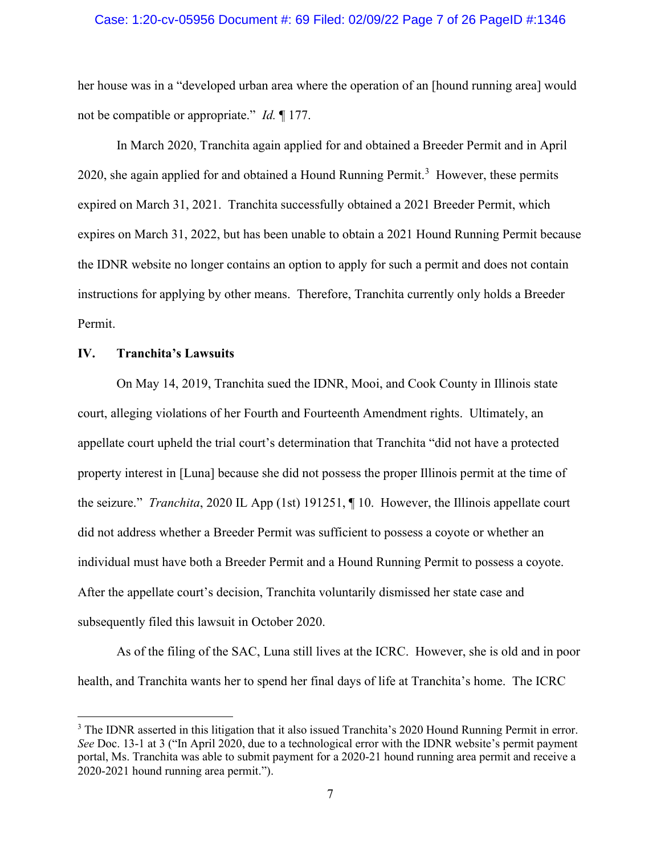## Case: 1:20-cv-05956 Document #: 69 Filed: 02/09/22 Page 7 of 26 PageID #:1346

her house was in a "developed urban area where the operation of an [hound running area] would not be compatible or appropriate." *Id.* ¶ 177.

In March 2020, Tranchita again applied for and obtained a Breeder Permit and in April 2020, she again applied for and obtained a Hound Running Permit.<sup>[3](#page-6-0)</sup> However, these permits expired on March 31, 2021. Tranchita successfully obtained a 2021 Breeder Permit, which expires on March 31, 2022, but has been unable to obtain a 2021 Hound Running Permit because the IDNR website no longer contains an option to apply for such a permit and does not contain instructions for applying by other means. Therefore, Tranchita currently only holds a Breeder Permit.

## **IV. Tranchita's Lawsuits**

On May 14, 2019, Tranchita sued the IDNR, Mooi, and Cook County in Illinois state court, alleging violations of her Fourth and Fourteenth Amendment rights. Ultimately, an appellate court upheld the trial court's determination that Tranchita "did not have a protected property interest in [Luna] because she did not possess the proper Illinois permit at the time of the seizure." *Tranchita*, 2020 IL App (1st) 191251, ¶ 10. However, the Illinois appellate court did not address whether a Breeder Permit was sufficient to possess a coyote or whether an individual must have both a Breeder Permit and a Hound Running Permit to possess a coyote. After the appellate court's decision, Tranchita voluntarily dismissed her state case and subsequently filed this lawsuit in October 2020.

As of the filing of the SAC, Luna still lives at the ICRC. However, she is old and in poor health, and Tranchita wants her to spend her final days of life at Tranchita's home. The ICRC

<span id="page-6-0"></span><sup>&</sup>lt;sup>3</sup> The IDNR asserted in this litigation that it also issued Tranchita's 2020 Hound Running Permit in error. *See* Doc. 13-1 at 3 ("In April 2020, due to a technological error with the IDNR website's permit payment portal, Ms. Tranchita was able to submit payment for a 2020-21 hound running area permit and receive a 2020-2021 hound running area permit.").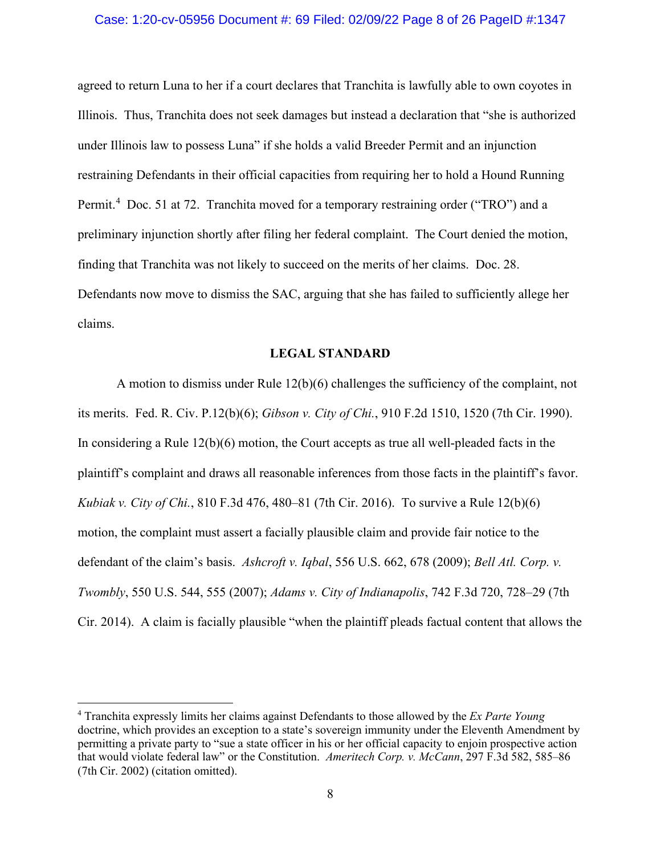## Case: 1:20-cv-05956 Document #: 69 Filed: 02/09/22 Page 8 of 26 PageID #:1347

agreed to return Luna to her if a court declares that Tranchita is lawfully able to own coyotes in Illinois. Thus, Tranchita does not seek damages but instead a declaration that "she is authorized under Illinois law to possess Luna" if she holds a valid Breeder Permit and an injunction restraining Defendants in their official capacities from requiring her to hold a Hound Running Permit.<sup>[4](#page-7-0)</sup> Doc. 51 at 72. Tranchita moved for a temporary restraining order ("TRO") and a preliminary injunction shortly after filing her federal complaint. The Court denied the motion, finding that Tranchita was not likely to succeed on the merits of her claims. Doc. 28. Defendants now move to dismiss the SAC, arguing that she has failed to sufficiently allege her claims.

#### **LEGAL STANDARD**

A motion to dismiss under Rule 12(b)(6) challenges the sufficiency of the complaint, not its merits. Fed. R. Civ. P.12(b)(6); *Gibson v. City of Chi.*, 910 F.2d 1510, 1520 (7th Cir. 1990). In considering a Rule 12(b)(6) motion, the Court accepts as true all well-pleaded facts in the plaintiff's complaint and draws all reasonable inferences from those facts in the plaintiff's favor. *Kubiak v. City of Chi.*, 810 F.3d 476, 480–81 (7th Cir. 2016). To survive a Rule 12(b)(6) motion, the complaint must assert a facially plausible claim and provide fair notice to the defendant of the claim's basis. *Ashcroft v. Iqbal*, 556 U.S. 662, 678 (2009); *Bell Atl. Corp. v. Twombly*, 550 U.S. 544, 555 (2007); *Adams v. City of Indianapolis*, 742 F.3d 720, 728–29 (7th Cir. 2014). A claim is facially plausible "when the plaintiff pleads factual content that allows the

<span id="page-7-0"></span><sup>4</sup> Tranchita expressly limits her claims against Defendants to those allowed by the *Ex Parte Young*  doctrine, which provides an exception to a state's sovereign immunity under the Eleventh Amendment by permitting a private party to "sue a state officer in his or her official capacity to enjoin prospective action that would violate federal law" or the Constitution. *Ameritech Corp. v. McCann*, 297 F.3d 582, 585–86 (7th Cir. 2002) (citation omitted).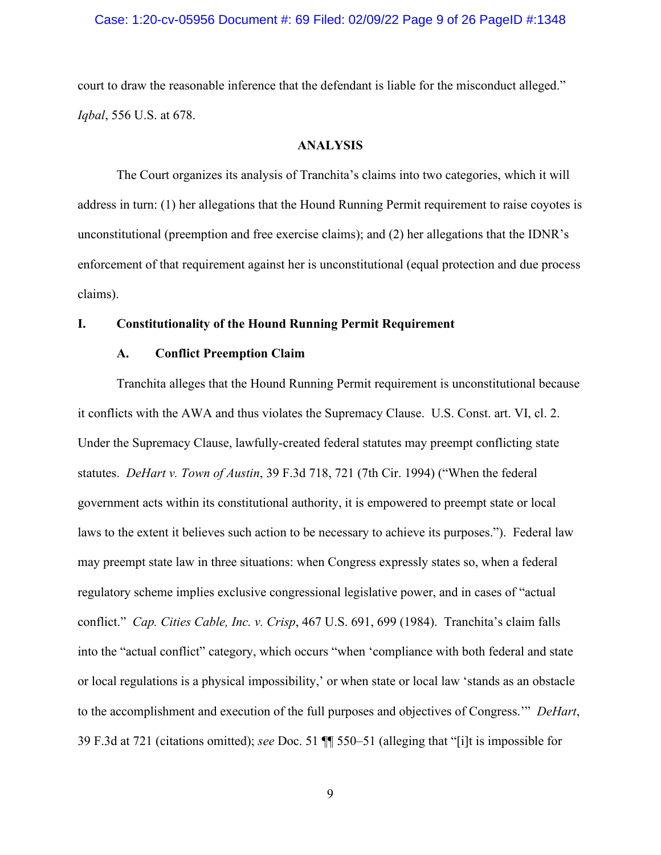## Case: 1:20-cv-05956 Document #: 69 Filed: 02/09/22 Page 9 of 26 PageID #:1348

court to draw the reasonable inference that the defendant is liable for the misconduct alleged." *Iqbal*, 556 U.S. at 678.

## **ANALYSIS**

The Court organizes its analysis of Tranchita's claims into two categories, which it will address in turn: (1) her allegations that the Hound Running Permit requirement to raise coyotes is unconstitutional (preemption and free exercise claims); and (2) her allegations that the IDNR's enforcement of that requirement against her is unconstitutional (equal protection and due process claims).

## **I. Constitutionality of the Hound Running Permit Requirement**

## **A. Conflict Preemption Claim**

Tranchita alleges that the Hound Running Permit requirement is unconstitutional because it conflicts with the AWA and thus violates the Supremacy Clause. U.S. Const. art. VI, cl. 2. Under the Supremacy Clause, lawfully-created federal statutes may preempt conflicting state statutes. *DeHart v. Town of Austin*, 39 F.3d 718, 721 (7th Cir. 1994) ("When the federal government acts within its constitutional authority, it is empowered to preempt state or local laws to the extent it believes such action to be necessary to achieve its purposes."). Federal law may preempt state law in three situations: when Congress expressly states so, when a federal regulatory scheme implies exclusive congressional legislative power, and in cases of "actual conflict." *Cap. Cities Cable, Inc. v. Crisp*, 467 U.S. 691, 699 (1984). Tranchita's claim falls into the "actual conflict" category, which occurs "when 'compliance with both federal and state or local regulations is a physical impossibility,' or when state or local law 'stands as an obstacle to the accomplishment and execution of the full purposes and objectives of Congress.'" *DeHart*, 39 F.3d at 721 (citations omitted); *see* Doc. 51 ¶¶ 550–51 (alleging that "[i]t is impossible for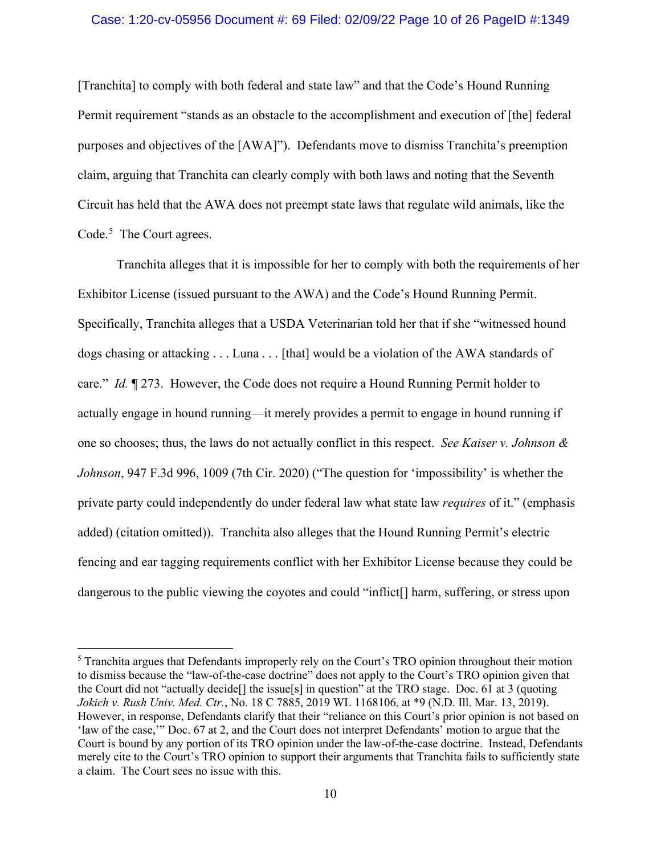## Case: 1:20-cv-05956 Document #: 69 Filed: 02/09/22 Page 10 of 26 PageID #:1349

[Tranchita] to comply with both federal and state law" and that the Code's Hound Running Permit requirement "stands as an obstacle to the accomplishment and execution of [the] federal purposes and objectives of the [AWA]"). Defendants move to dismiss Tranchita's preemption claim, arguing that Tranchita can clearly comply with both laws and noting that the Seventh Circuit has held that the AWA does not preempt state laws that regulate wild animals, like the Code.<sup>[5](#page-9-0)</sup> The Court agrees.

Tranchita alleges that it is impossible for her to comply with both the requirements of her Exhibitor License (issued pursuant to the AWA) and the Code's Hound Running Permit. Specifically, Tranchita alleges that a USDA Veterinarian told her that if she "witnessed hound dogs chasing or attacking . . . Luna . . . [that] would be a violation of the AWA standards of care." *Id.* ¶ 273. However, the Code does not require a Hound Running Permit holder to actually engage in hound running—it merely provides a permit to engage in hound running if one so chooses; thus, the laws do not actually conflict in this respect. *See Kaiser v. Johnson & Johnson*, 947 F.3d 996, 1009 (7th Cir. 2020) ("The question for 'impossibility' is whether the private party could independently do under federal law what state law *requires* of it." (emphasis added) (citation omitted)). Tranchita also alleges that the Hound Running Permit's electric fencing and ear tagging requirements conflict with her Exhibitor License because they could be dangerous to the public viewing the coyotes and could "inflict[] harm, suffering, or stress upon

<span id="page-9-0"></span><sup>&</sup>lt;sup>5</sup> Tranchita argues that Defendants improperly rely on the Court's TRO opinion throughout their motion to dismiss because the "law-of-the-case doctrine" does not apply to the Court's TRO opinion given that the Court did not "actually decide[] the issue[s] in question" at the TRO stage. Doc. 61 at 3 (quoting *Jokich v. Rush Univ. Med. Ctr.*, No. 18 C 7885, 2019 WL 1168106, at \*9 (N.D. Ill. Mar. 13, 2019). However, in response, Defendants clarify that their "reliance on this Court's prior opinion is not based on 'law of the case,'" Doc. 67 at 2, and the Court does not interpret Defendants' motion to argue that the Court is bound by any portion of its TRO opinion under the law-of-the-case doctrine. Instead, Defendants merely cite to the Court's TRO opinion to support their arguments that Tranchita fails to sufficiently state a claim. The Court sees no issue with this.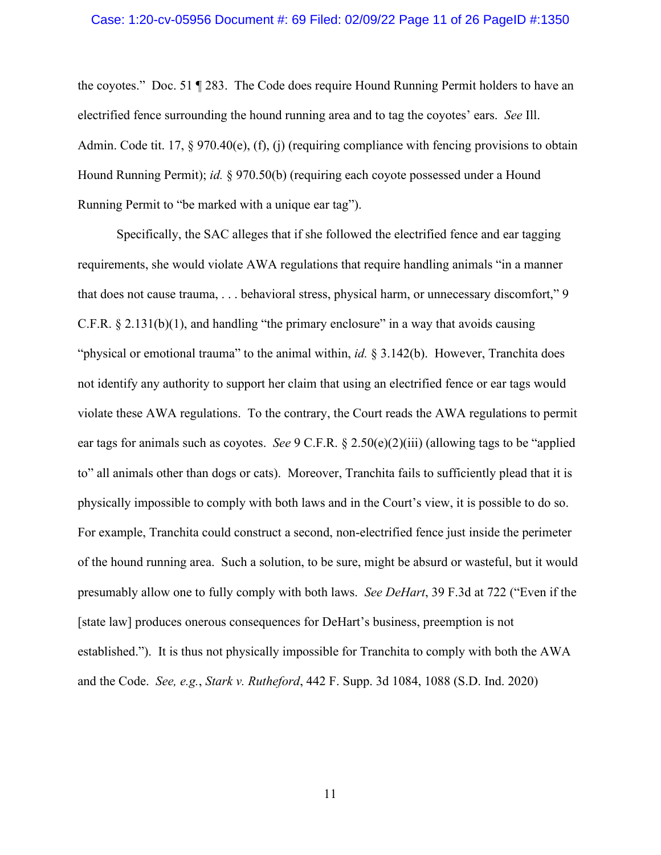## Case: 1:20-cv-05956 Document #: 69 Filed: 02/09/22 Page 11 of 26 PageID #:1350

the coyotes." Doc. 51 ¶ 283. The Code does require Hound Running Permit holders to have an electrified fence surrounding the hound running area and to tag the coyotes' ears. *See* Ill. Admin. Code tit. 17, § 970.40(e), (f), (j) (requiring compliance with fencing provisions to obtain Hound Running Permit); *id.* § 970.50(b) (requiring each coyote possessed under a Hound Running Permit to "be marked with a unique ear tag").

Specifically, the SAC alleges that if she followed the electrified fence and ear tagging requirements, she would violate AWA regulations that require handling animals "in a manner that does not cause trauma, . . . behavioral stress, physical harm, or unnecessary discomfort," 9 C.F.R.  $\S 2.131(b)(1)$ , and handling "the primary enclosure" in a way that avoids causing "physical or emotional trauma" to the animal within, *id.* § 3.142(b). However, Tranchita does not identify any authority to support her claim that using an electrified fence or ear tags would violate these AWA regulations. To the contrary, the Court reads the AWA regulations to permit ear tags for animals such as coyotes. *See* 9 C.F.R. § 2.50(e)(2)(iii) (allowing tags to be "applied to" all animals other than dogs or cats). Moreover, Tranchita fails to sufficiently plead that it is physically impossible to comply with both laws and in the Court's view, it is possible to do so. For example, Tranchita could construct a second, non-electrified fence just inside the perimeter of the hound running area. Such a solution, to be sure, might be absurd or wasteful, but it would presumably allow one to fully comply with both laws. *See DeHart*, 39 F.3d at 722 ("Even if the [state law] produces onerous consequences for DeHart's business, preemption is not established."). It is thus not physically impossible for Tranchita to comply with both the AWA and the Code. *See, e.g.*, *Stark v. Rutheford*, 442 F. Supp. 3d 1084, 1088 (S.D. Ind. 2020)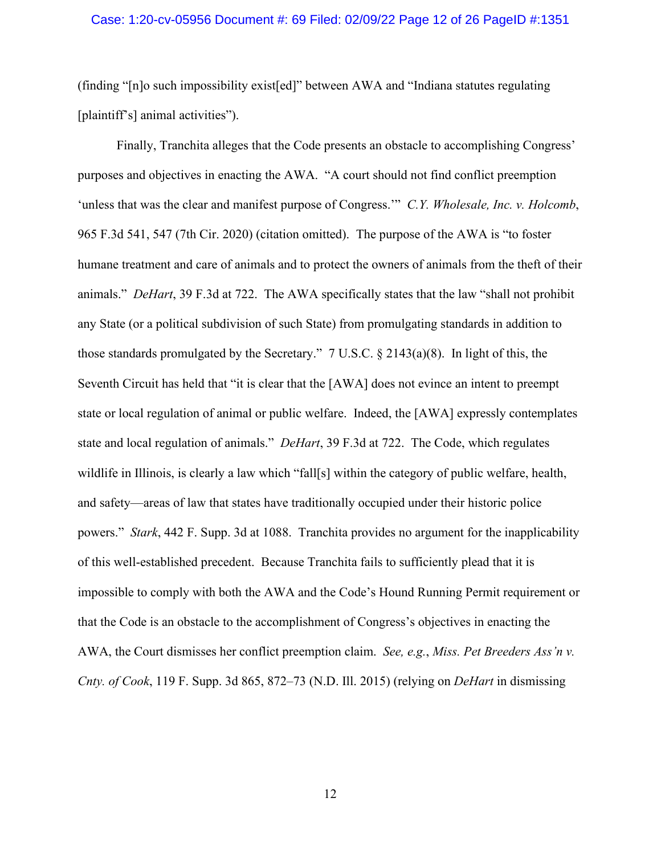## Case: 1:20-cv-05956 Document #: 69 Filed: 02/09/22 Page 12 of 26 PageID #:1351

(finding "[n]o such impossibility exist[ed]" between AWA and "Indiana statutes regulating [plaintiff's] animal activities").

Finally, Tranchita alleges that the Code presents an obstacle to accomplishing Congress' purposes and objectives in enacting the AWA. "A court should not find conflict preemption 'unless that was the clear and manifest purpose of Congress.'" *C.Y. Wholesale, Inc. v. Holcomb*, 965 F.3d 541, 547 (7th Cir. 2020) (citation omitted).The purpose of the AWA is "to foster humane treatment and care of animals and to protect the owners of animals from the theft of their animals." *DeHart*, 39 F.3d at 722. The AWA specifically states that the law "shall not prohibit any State (or a political subdivision of such State) from promulgating standards in addition to those standards promulgated by the Secretary." 7 U.S.C.  $\S 2143(a)(8)$ . In light of this, the Seventh Circuit has held that "it is clear that the [AWA] does not evince an intent to preempt state or local regulation of animal or public welfare. Indeed, the [AWA] expressly contemplates state and local regulation of animals." *DeHart*, 39 F.3d at 722. The Code, which regulates wildlife in Illinois, is clearly a law which "fall[s] within the category of public welfare, health, and safety—areas of law that states have traditionally occupied under their historic police powers." *Stark*, 442 F. Supp. 3d at 1088.Tranchita provides no argument for the inapplicability of this well-established precedent. Because Tranchita fails to sufficiently plead that it is impossible to comply with both the AWA and the Code's Hound Running Permit requirement or that the Code is an obstacle to the accomplishment of Congress's objectives in enacting the AWA, the Court dismisses her conflict preemption claim. *See, e.g.*, *Miss. Pet Breeders Ass'n v. Cnty. of Cook*, 119 F. Supp. 3d 865, 872–73 (N.D. Ill. 2015) (relying on *DeHart* in dismissing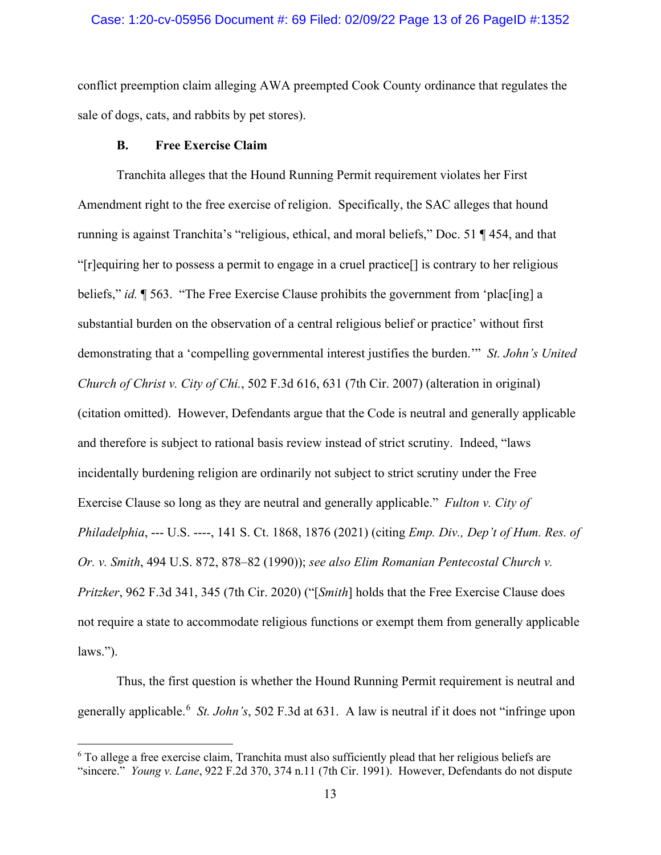## Case: 1:20-cv-05956 Document #: 69 Filed: 02/09/22 Page 13 of 26 PageID #:1352

conflict preemption claim alleging AWA preempted Cook County ordinance that regulates the sale of dogs, cats, and rabbits by pet stores).

## **B. Free Exercise Claim**

Tranchita alleges that the Hound Running Permit requirement violates her First Amendment right to the free exercise of religion. Specifically, the SAC alleges that hound running is against Tranchita's "religious, ethical, and moral beliefs," Doc. 51 ¶ 454, and that "[r]equiring her to possess a permit to engage in a cruel practice[] is contrary to her religious beliefs," *id.* ¶ 563. "The Free Exercise Clause prohibits the government from 'plac[ing] a substantial burden on the observation of a central religious belief or practice' without first demonstrating that a 'compelling governmental interest justifies the burden.'" *St. John's United Church of Christ v. City of Chi.*, 502 F.3d 616, 631 (7th Cir. 2007) (alteration in original) (citation omitted). However, Defendants argue that the Code is neutral and generally applicable and therefore is subject to rational basis review instead of strict scrutiny. Indeed, "laws incidentally burdening religion are ordinarily not subject to strict scrutiny under the Free Exercise Clause so long as they are neutral and generally applicable." *Fulton v. City of Philadelphia*, --- U.S. ----, 141 S. Ct. 1868, 1876 (2021) (citing *Emp. Div., Dep't of Hum. Res. of Or. v. Smith*, 494 U.S. 872, 878–82 (1990)); *see also Elim Romanian Pentecostal Church v. Pritzker*, 962 F.3d 341, 345 (7th Cir. 2020) ("[*Smith*] holds that the Free Exercise Clause does not require a state to accommodate religious functions or exempt them from generally applicable laws.").

Thus, the first question is whether the Hound Running Permit requirement is neutral and generally applicable.[6](#page-12-0) *St. John's*, 502 F.3d at 631. A law is neutral if it does not "infringe upon

<span id="page-12-0"></span><sup>&</sup>lt;sup>6</sup> To allege a free exercise claim, Tranchita must also sufficiently plead that her religious beliefs are "sincere." *Young v. Lane*, 922 F.2d 370, 374 n.11 (7th Cir. 1991). However, Defendants do not dispute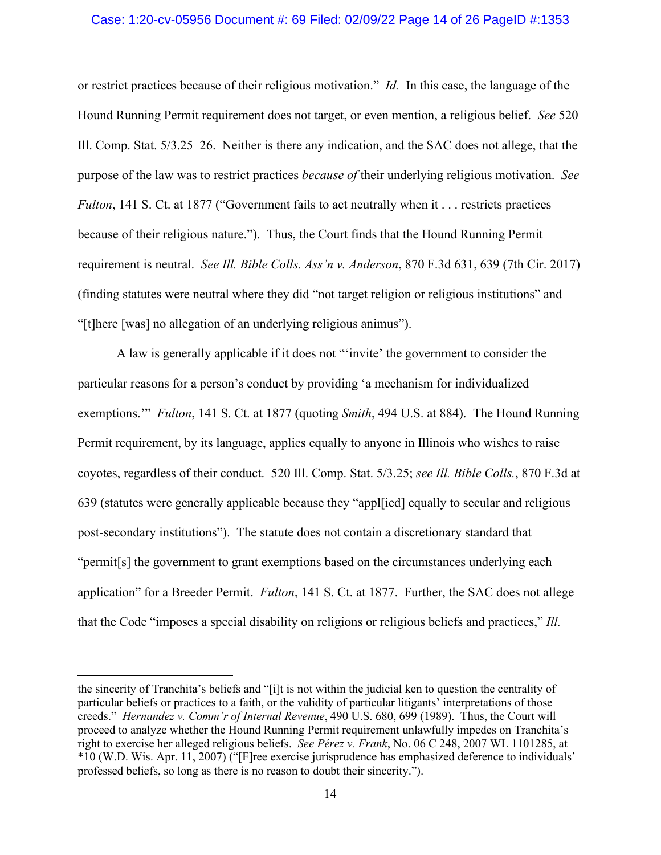## Case: 1:20-cv-05956 Document #: 69 Filed: 02/09/22 Page 14 of 26 PageID #:1353

or restrict practices because of their religious motivation." *Id.* In this case, the language of the Hound Running Permit requirement does not target, or even mention, a religious belief. *See* 520 Ill. Comp. Stat. 5/3.25–26. Neither is there any indication, and the SAC does not allege, that the purpose of the law was to restrict practices *because of* their underlying religious motivation. *See Fulton*, 141 S. Ct. at 1877 ("Government fails to act neutrally when it . . . restricts practices because of their religious nature."). Thus, the Court finds that the Hound Running Permit requirement is neutral. *See Ill. Bible Colls. Ass'n v. Anderson*, 870 F.3d 631, 639 (7th Cir. 2017) (finding statutes were neutral where they did "not target religion or religious institutions" and "[t]here [was] no allegation of an underlying religious animus").

A law is generally applicable if it does not "'invite' the government to consider the particular reasons for a person's conduct by providing 'a mechanism for individualized exemptions.'" *Fulton*, 141 S. Ct. at 1877 (quoting *Smith*, 494 U.S. at 884). The Hound Running Permit requirement, by its language, applies equally to anyone in Illinois who wishes to raise coyotes, regardless of their conduct. 520 Ill. Comp. Stat. 5/3.25; *see Ill. Bible Colls.*, 870 F.3d at 639 (statutes were generally applicable because they "appl[ied] equally to secular and religious post-secondary institutions"). The statute does not contain a discretionary standard that "permit[s] the government to grant exemptions based on the circumstances underlying each application" for a Breeder Permit. *Fulton*, 141 S. Ct. at 1877. Further, the SAC does not allege that the Code "imposes a special disability on religions or religious beliefs and practices," *Ill.* 

the sincerity of Tranchita's beliefs and "[i]t is not within the judicial ken to question the centrality of particular beliefs or practices to a faith, or the validity of particular litigants' interpretations of those creeds." *Hernandez v. Comm'r of Internal Revenue*, 490 U.S. 680, 699 (1989). Thus, the Court will proceed to analyze whether the Hound Running Permit requirement unlawfully impedes on Tranchita's right to exercise her alleged religious beliefs. *See Pérez v. Frank*, No. 06 C 248, 2007 WL 1101285, at \*10 (W.D. Wis. Apr. 11, 2007) ("[F]ree exercise jurisprudence has emphasized deference to individuals' professed beliefs, so long as there is no reason to doubt their sincerity.").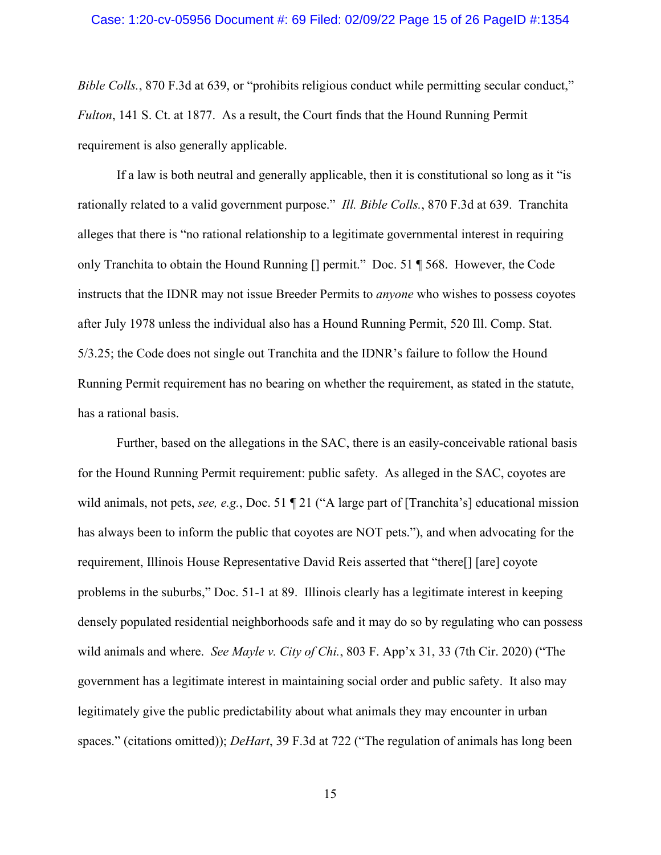### Case: 1:20-cv-05956 Document #: 69 Filed: 02/09/22 Page 15 of 26 PageID #:1354

*Bible Colls.*, 870 F.3d at 639, or "prohibits religious conduct while permitting secular conduct," *Fulton*, 141 S. Ct. at 1877. As a result, the Court finds that the Hound Running Permit requirement is also generally applicable.

If a law is both neutral and generally applicable, then it is constitutional so long as it "is rationally related to a valid government purpose." *Ill. Bible Colls.*, 870 F.3d at 639.Tranchita alleges that there is "no rational relationship to a legitimate governmental interest in requiring only Tranchita to obtain the Hound Running [] permit." Doc. 51 ¶ 568. However, the Code instructs that the IDNR may not issue Breeder Permits to *anyone* who wishes to possess coyotes after July 1978 unless the individual also has a Hound Running Permit, 520 Ill. Comp. Stat. 5/3.25; the Code does not single out Tranchita and the IDNR's failure to follow the Hound Running Permit requirement has no bearing on whether the requirement, as stated in the statute, has a rational basis.

Further, based on the allegations in the SAC, there is an easily-conceivable rational basis for the Hound Running Permit requirement: public safety. As alleged in the SAC, coyotes are wild animals, not pets, *see, e.g.*, Doc. 51 ¶ 21 ("A large part of [Tranchita's] educational mission has always been to inform the public that coyotes are NOT pets."), and when advocating for the requirement, Illinois House Representative David Reis asserted that "there[] [are] coyote problems in the suburbs," Doc. 51-1 at 89. Illinois clearly has a legitimate interest in keeping densely populated residential neighborhoods safe and it may do so by regulating who can possess wild animals and where. *See Mayle v. City of Chi.*, 803 F. App'x 31, 33 (7th Cir. 2020) ("The government has a legitimate interest in maintaining social order and public safety. It also may legitimately give the public predictability about what animals they may encounter in urban spaces." (citations omitted)); *DeHart*, 39 F.3d at 722 ("The regulation of animals has long been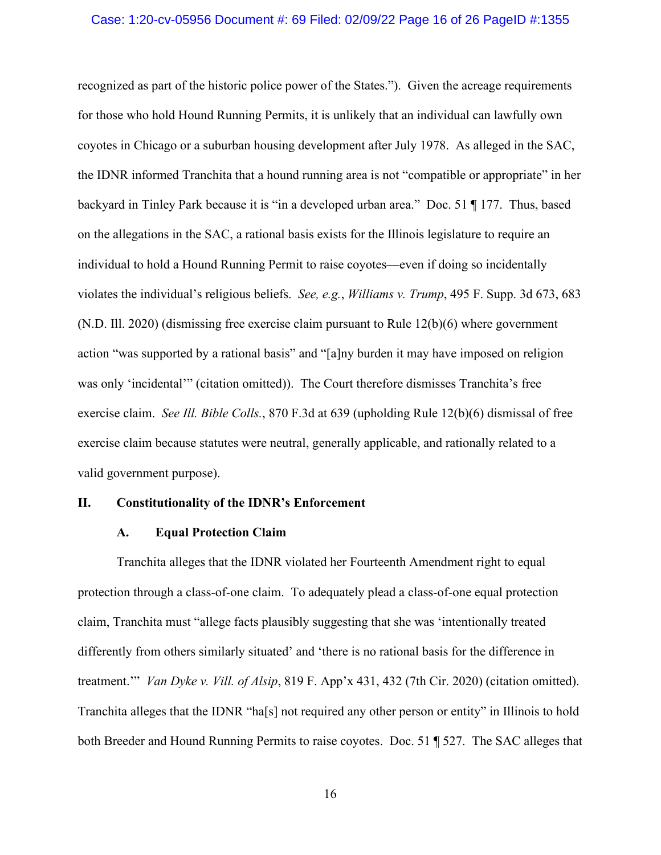## Case: 1:20-cv-05956 Document #: 69 Filed: 02/09/22 Page 16 of 26 PageID #:1355

recognized as part of the historic police power of the States."). Given the acreage requirements for those who hold Hound Running Permits, it is unlikely that an individual can lawfully own coyotes in Chicago or a suburban housing development after July 1978. As alleged in the SAC, the IDNR informed Tranchita that a hound running area is not "compatible or appropriate" in her backyard in Tinley Park because it is "in a developed urban area." Doc. 51 ¶ 177. Thus, based on the allegations in the SAC, a rational basis exists for the Illinois legislature to require an individual to hold a Hound Running Permit to raise coyotes—even if doing so incidentally violates the individual's religious beliefs. *See, e.g.*, *Williams v. Trump*, 495 F. Supp. 3d 673, 683 (N.D. Ill. 2020) (dismissing free exercise claim pursuant to Rule 12(b)(6) where government action "was supported by a rational basis" and "[a]ny burden it may have imposed on religion was only 'incidental'" (citation omitted)).The Court therefore dismisses Tranchita's free exercise claim. *See Ill. Bible Colls.*, 870 F.3d at 639 (upholding Rule 12(b)(6) dismissal of free exercise claim because statutes were neutral, generally applicable, and rationally related to a valid government purpose).

## **II. Constitutionality of the IDNR's Enforcement**

## **A. Equal Protection Claim**

Tranchita alleges that the IDNR violated her Fourteenth Amendment right to equal protection through a class-of-one claim. To adequately plead a class-of-one equal protection claim, Tranchita must "allege facts plausibly suggesting that she was 'intentionally treated differently from others similarly situated' and 'there is no rational basis for the difference in treatment.'" *Van Dyke v. Vill. of Alsip*, 819 F. App'x 431, 432 (7th Cir. 2020) (citation omitted). Tranchita alleges that the IDNR "ha[s] not required any other person or entity" in Illinois to hold both Breeder and Hound Running Permits to raise coyotes. Doc. 51 ¶ 527. The SAC alleges that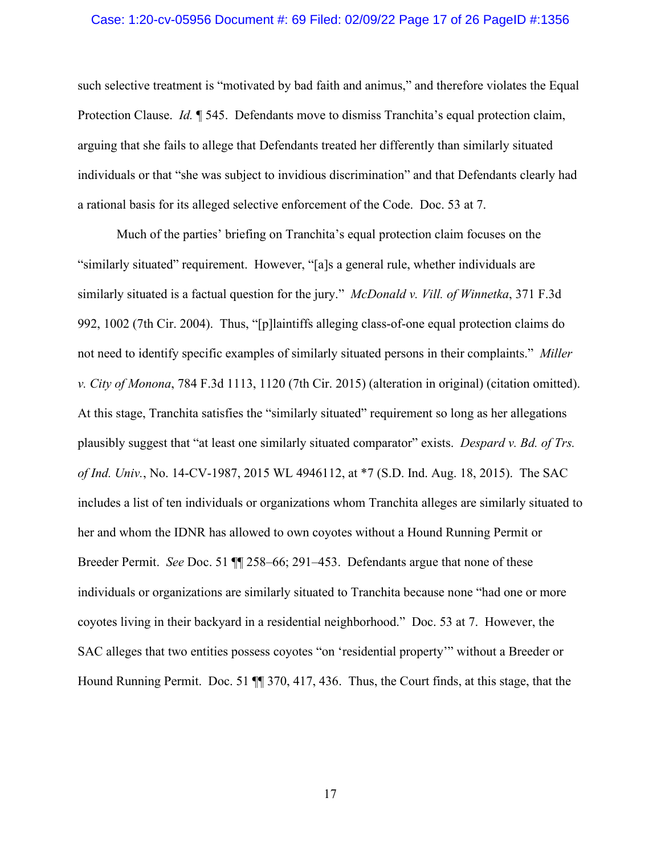## Case: 1:20-cv-05956 Document #: 69 Filed: 02/09/22 Page 17 of 26 PageID #:1356

such selective treatment is "motivated by bad faith and animus," and therefore violates the Equal Protection Clause. *Id.* **[545.** Defendants move to dismiss Tranchita's equal protection claim, arguing that she fails to allege that Defendants treated her differently than similarly situated individuals or that "she was subject to invidious discrimination" and that Defendants clearly had a rational basis for its alleged selective enforcement of the Code. Doc. 53 at 7.

Much of the parties' briefing on Tranchita's equal protection claim focuses on the "similarly situated" requirement. However, "[a]s a general rule, whether individuals are similarly situated is a factual question for the jury." *McDonald v. Vill. of Winnetka*, 371 F.3d 992, 1002 (7th Cir. 2004). Thus, "[p]laintiffs alleging class-of-one equal protection claims do not need to identify specific examples of similarly situated persons in their complaints." *Miller v. City of Monona*, 784 F.3d 1113, 1120 (7th Cir. 2015) (alteration in original) (citation omitted). At this stage, Tranchita satisfies the "similarly situated" requirement so long as her allegations plausibly suggest that "at least one similarly situated comparator" exists. *Despard v. Bd. of Trs. of Ind. Univ.*, No. 14-CV-1987, 2015 WL 4946112, at \*7 (S.D. Ind. Aug. 18, 2015). The SAC includes a list of ten individuals or organizations whom Tranchita alleges are similarly situated to her and whom the IDNR has allowed to own coyotes without a Hound Running Permit or Breeder Permit. *See* Doc. 51 ¶¶ 258–66; 291–453. Defendants argue that none of these individuals or organizations are similarly situated to Tranchita because none "had one or more coyotes living in their backyard in a residential neighborhood." Doc. 53 at 7. However, the SAC alleges that two entities possess coyotes "on 'residential property'" without a Breeder or Hound Running Permit. Doc. 51 ¶¶ 370, 417, 436. Thus, the Court finds, at this stage, that the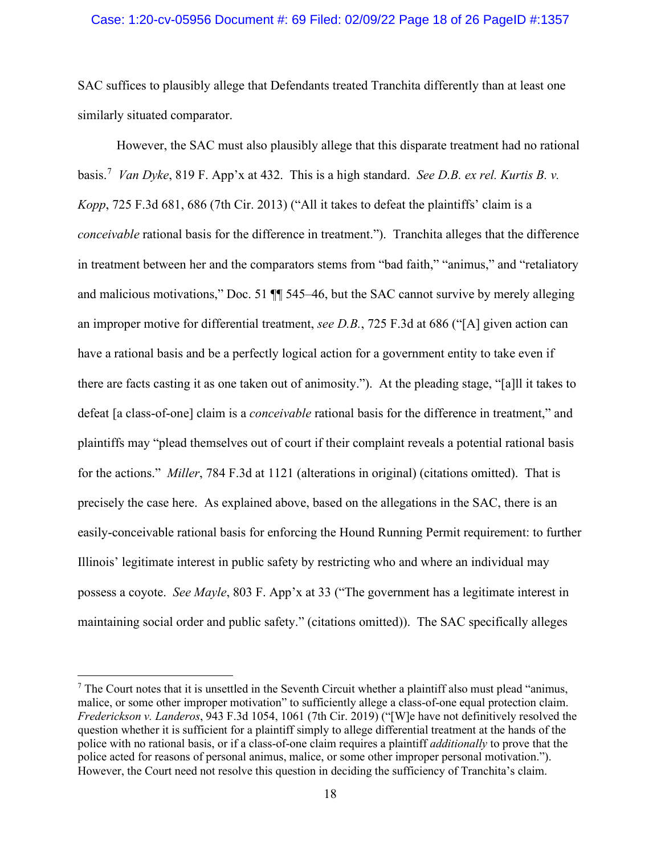## Case: 1:20-cv-05956 Document #: 69 Filed: 02/09/22 Page 18 of 26 PageID #:1357

SAC suffices to plausibly allege that Defendants treated Tranchita differently than at least one similarly situated comparator.

However, the SAC must also plausibly allege that this disparate treatment had no rational basis. [7](#page-17-0) *Van Dyke*, 819 F. App'x at 432. This is a high standard. *See D.B. ex rel. Kurtis B. v. Kopp*, 725 F.3d 681, 686 (7th Cir. 2013) ("All it takes to defeat the plaintiffs' claim is a *conceivable* rational basis for the difference in treatment."). Tranchita alleges that the difference in treatment between her and the comparators stems from "bad faith," "animus," and "retaliatory and malicious motivations," Doc. 51 ¶¶ 545–46, but the SAC cannot survive by merely alleging an improper motive for differential treatment, *see D.B.*, 725 F.3d at 686 ("[A] given action can have a rational basis and be a perfectly logical action for a government entity to take even if there are facts casting it as one taken out of animosity."). At the pleading stage, "[a]ll it takes to defeat [a class-of-one] claim is a *conceivable* rational basis for the difference in treatment," and plaintiffs may "plead themselves out of court if their complaint reveals a potential rational basis for the actions." *Miller*, 784 F.3d at 1121 (alterations in original) (citations omitted). That is precisely the case here. As explained above, based on the allegations in the SAC, there is an easily-conceivable rational basis for enforcing the Hound Running Permit requirement: to further Illinois' legitimate interest in public safety by restricting who and where an individual may possess a coyote. *See Mayle*, 803 F. App'x at 33 ("The government has a legitimate interest in maintaining social order and public safety." (citations omitted)). The SAC specifically alleges

<span id="page-17-0"></span> $<sup>7</sup>$  The Court notes that it is unsettled in the Seventh Circuit whether a plaintiff also must plead "animus,</sup> malice, or some other improper motivation" to sufficiently allege a class-of-one equal protection claim. *Frederickson v. Landeros*, 943 F.3d 1054, 1061 (7th Cir. 2019) ("[W]e have not definitively resolved the question whether it is sufficient for a plaintiff simply to allege differential treatment at the hands of the police with no rational basis, or if a class-of-one claim requires a plaintiff *additionally* to prove that the police acted for reasons of personal animus, malice, or some other improper personal motivation."). However, the Court need not resolve this question in deciding the sufficiency of Tranchita's claim.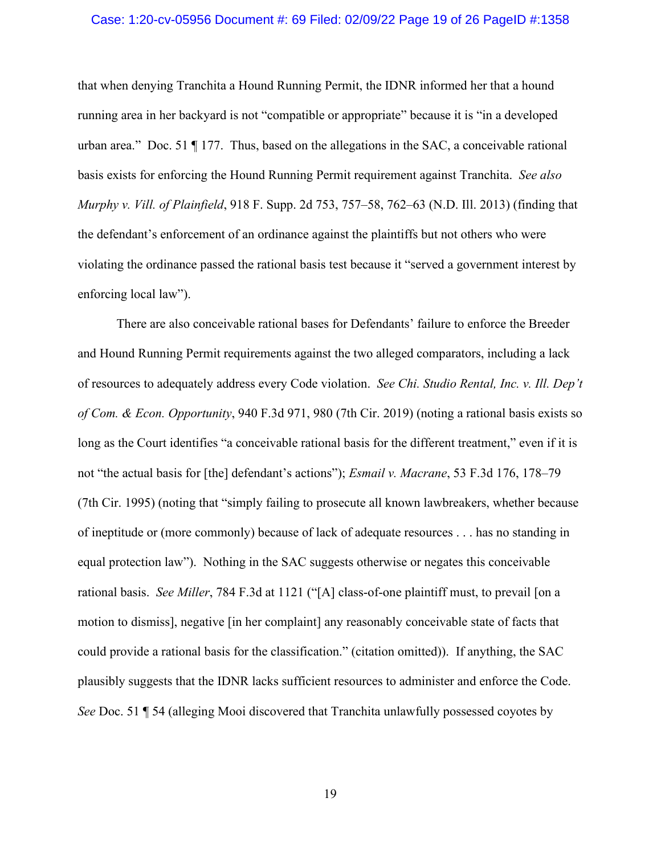## Case: 1:20-cv-05956 Document #: 69 Filed: 02/09/22 Page 19 of 26 PageID #:1358

that when denying Tranchita a Hound Running Permit, the IDNR informed her that a hound running area in her backyard is not "compatible or appropriate" because it is "in a developed urban area." Doc. 51  $\P$  177. Thus, based on the allegations in the SAC, a conceivable rational basis exists for enforcing the Hound Running Permit requirement against Tranchita. *See also Murphy v. Vill. of Plainfield*, 918 F. Supp. 2d 753, 757–58, 762–63 (N.D. Ill. 2013) (finding that the defendant's enforcement of an ordinance against the plaintiffs but not others who were violating the ordinance passed the rational basis test because it "served a government interest by enforcing local law").

There are also conceivable rational bases for Defendants' failure to enforce the Breeder and Hound Running Permit requirements against the two alleged comparators, including a lack of resources to adequately address every Code violation. *See Chi. Studio Rental, Inc. v. Ill. Dep't of Com. & Econ. Opportunity*, 940 F.3d 971, 980 (7th Cir. 2019) (noting a rational basis exists so long as the Court identifies "a conceivable rational basis for the different treatment," even if it is not "the actual basis for [the] defendant's actions"); *Esmail v. Macrane*, 53 F.3d 176, 178–79 (7th Cir. 1995) (noting that "simply failing to prosecute all known lawbreakers, whether because of ineptitude or (more commonly) because of lack of adequate resources . . . has no standing in equal protection law"). Nothing in the SAC suggests otherwise or negates this conceivable rational basis. *See Miller*, 784 F.3d at 1121 ("[A] class-of-one plaintiff must, to prevail [on a motion to dismiss], negative [in her complaint] any reasonably conceivable state of facts that could provide a rational basis for the classification." (citation omitted)).If anything, the SAC plausibly suggests that the IDNR lacks sufficient resources to administer and enforce the Code. *See* Doc. 51 ¶ 54 (alleging Mooi discovered that Tranchita unlawfully possessed coyotes by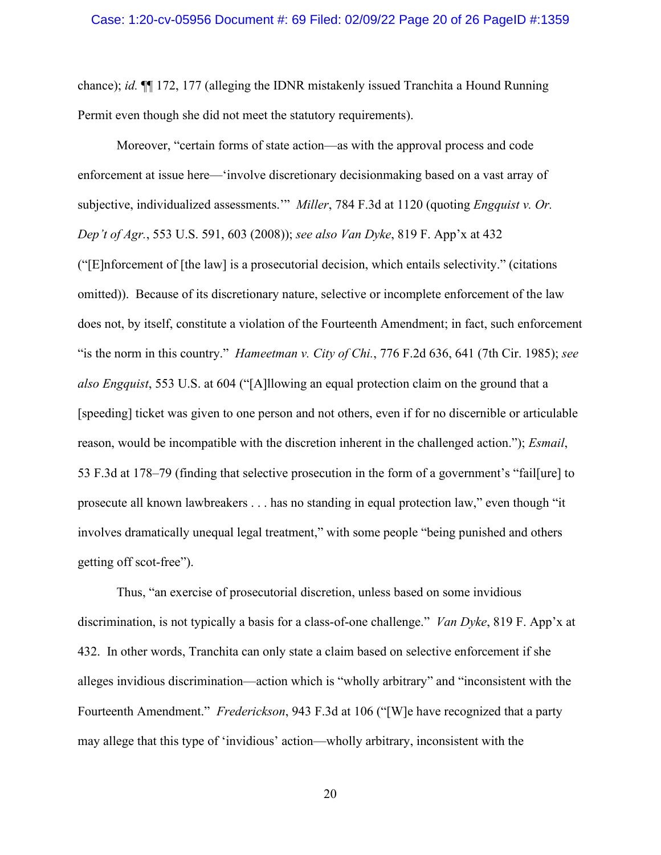chance); *id.* ¶¶ 172, 177 (alleging the IDNR mistakenly issued Tranchita a Hound Running Permit even though she did not meet the statutory requirements).

Moreover, "certain forms of state action—as with the approval process and code enforcement at issue here—'involve discretionary decisionmaking based on a vast array of subjective, individualized assessments.'" *Miller*, 784 F.3d at 1120 (quoting *Engquist v. Or. Dep't of Agr.*, 553 U.S. 591, 603 (2008)); *see also Van Dyke*, 819 F. App'x at 432 ("[E]nforcement of [the law] is a prosecutorial decision, which entails selectivity." (citations omitted)). Because of its discretionary nature, selective or incomplete enforcement of the law does not, by itself, constitute a violation of the Fourteenth Amendment; in fact, such enforcement "is the norm in this country." *Hameetman v. City of Chi.*, 776 F.2d 636, 641 (7th Cir. 1985); *see also Engquist*, 553 U.S. at 604 ("[A]llowing an equal protection claim on the ground that a [speeding] ticket was given to one person and not others, even if for no discernible or articulable reason, would be incompatible with the discretion inherent in the challenged action."); *Esmail*, 53 F.3d at 178–79 (finding that selective prosecution in the form of a government's "fail[ure] to prosecute all known lawbreakers . . . has no standing in equal protection law," even though "it involves dramatically unequal legal treatment," with some people "being punished and others getting off scot-free").

Thus, "an exercise of prosecutorial discretion, unless based on some invidious discrimination, is not typically a basis for a class-of-one challenge." *Van Dyke*, 819 F. App'x at 432. In other words, Tranchita can only state a claim based on selective enforcement if she alleges invidious discrimination—action which is "wholly arbitrary" and "inconsistent with the Fourteenth Amendment." *Frederickson*, 943 F.3d at 106 ("[W]e have recognized that a party may allege that this type of 'invidious' action—wholly arbitrary, inconsistent with the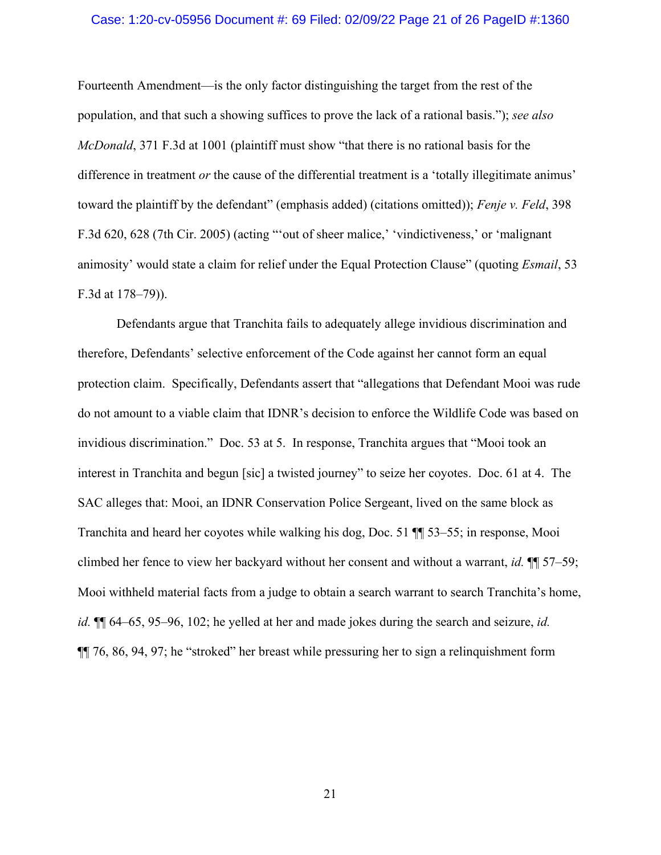## Case: 1:20-cv-05956 Document #: 69 Filed: 02/09/22 Page 21 of 26 PageID #:1360

Fourteenth Amendment—is the only factor distinguishing the target from the rest of the population, and that such a showing suffices to prove the lack of a rational basis."); *see also McDonald*, 371 F.3d at 1001 (plaintiff must show "that there is no rational basis for the difference in treatment *or* the cause of the differential treatment is a 'totally illegitimate animus' toward the plaintiff by the defendant" (emphasis added) (citations omitted)); *Fenje v. Feld*, 398 F.3d 620, 628 (7th Cir. 2005) (acting "'out of sheer malice,' 'vindictiveness,' or 'malignant animosity' would state a claim for relief under the Equal Protection Clause" (quoting *Esmail*, 53 F.3d at 178–79)).

Defendants argue that Tranchita fails to adequately allege invidious discrimination and therefore, Defendants' selective enforcement of the Code against her cannot form an equal protection claim. Specifically, Defendants assert that "allegations that Defendant Mooi was rude do not amount to a viable claim that IDNR's decision to enforce the Wildlife Code was based on invidious discrimination." Doc. 53 at 5. In response, Tranchita argues that "Mooi took an interest in Tranchita and begun [sic] a twisted journey" to seize her coyotes. Doc. 61 at 4. The SAC alleges that: Mooi, an IDNR Conservation Police Sergeant, lived on the same block as Tranchita and heard her coyotes while walking his dog, Doc. 51 ¶¶ 53–55; in response, Mooi climbed her fence to view her backyard without her consent and without a warrant, *id.* ¶¶ 57–59; Mooi withheld material facts from a judge to obtain a search warrant to search Tranchita's home, *id.* ¶¶ 64–65, 95–96, 102; he yelled at her and made jokes during the search and seizure, *id.* ¶¶ 76, 86, 94, 97; he "stroked" her breast while pressuring her to sign a relinquishment form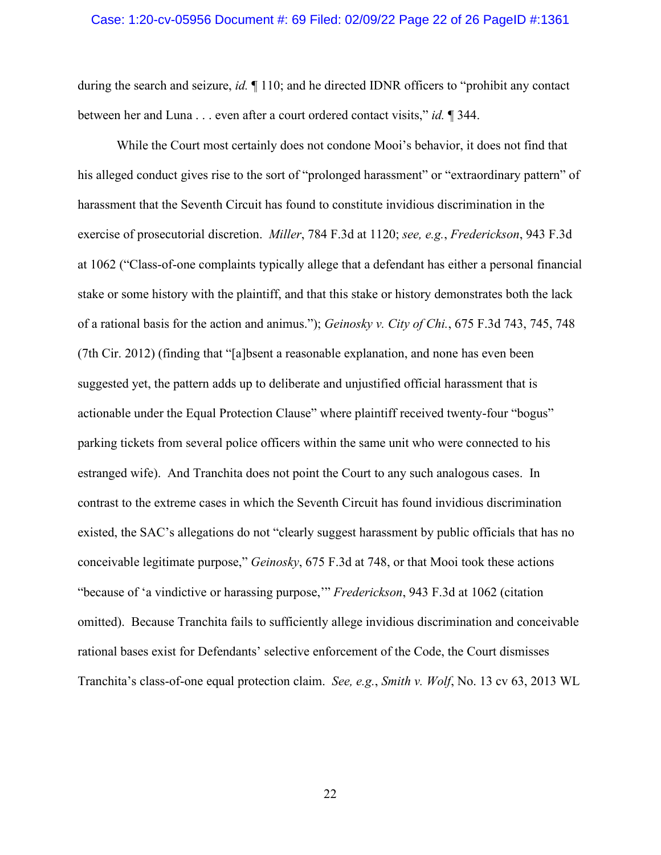## Case: 1:20-cv-05956 Document #: 69 Filed: 02/09/22 Page 22 of 26 PageID #:1361

during the search and seizure, *id.* ¶ 110; and he directed IDNR officers to "prohibit any contact between her and Luna . . . even after a court ordered contact visits," *id.* ¶ 344.

While the Court most certainly does not condone Mooi's behavior, it does not find that his alleged conduct gives rise to the sort of "prolonged harassment" or "extraordinary pattern" of harassment that the Seventh Circuit has found to constitute invidious discrimination in the exercise of prosecutorial discretion. *Miller*, 784 F.3d at 1120; *see, e.g.*, *Frederickson*, 943 F.3d at 1062 ("Class-of-one complaints typically allege that a defendant has either a personal financial stake or some history with the plaintiff, and that this stake or history demonstrates both the lack of a rational basis for the action and animus."); *Geinosky v. City of Chi.*, 675 F.3d 743, 745, 748 (7th Cir. 2012) (finding that "[a]bsent a reasonable explanation, and none has even been suggested yet, the pattern adds up to deliberate and unjustified official harassment that is actionable under the Equal Protection Clause" where plaintiff received twenty-four "bogus" parking tickets from several police officers within the same unit who were connected to his estranged wife). And Tranchita does not point the Court to any such analogous cases. In contrast to the extreme cases in which the Seventh Circuit has found invidious discrimination existed, the SAC's allegations do not "clearly suggest harassment by public officials that has no conceivable legitimate purpose," *Geinosky*, 675 F.3d at 748, or that Mooi took these actions "because of 'a vindictive or harassing purpose,'" *Frederickson*, 943 F.3d at 1062 (citation omitted). Because Tranchita fails to sufficiently allege invidious discrimination and conceivable rational bases exist for Defendants' selective enforcement of the Code, the Court dismisses Tranchita's class-of-one equal protection claim. *See, e.g.*, *Smith v. Wolf*, No. 13 cv 63, 2013 WL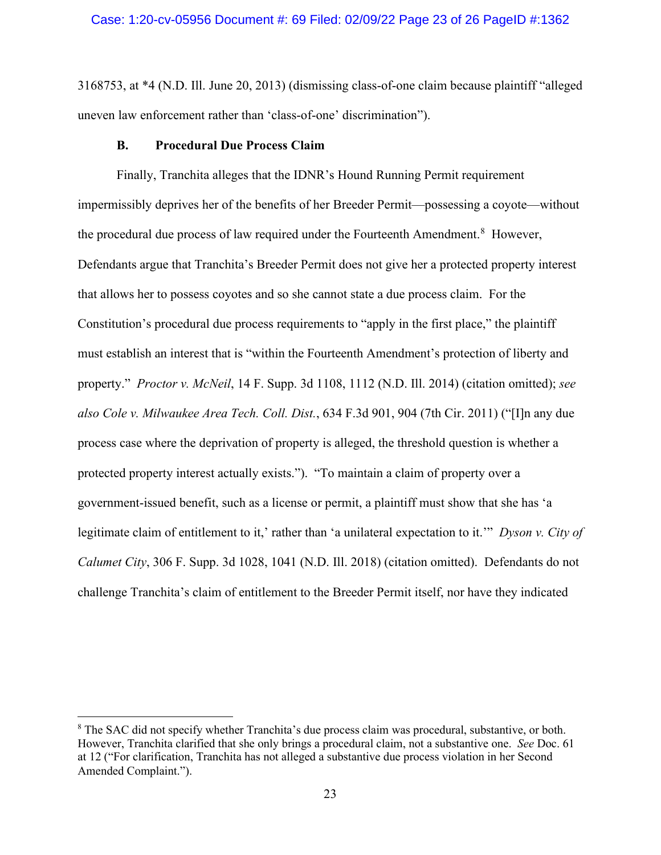3168753, at \*4 (N.D. Ill. June 20, 2013) (dismissing class-of-one claim because plaintiff "alleged uneven law enforcement rather than 'class-of-one' discrimination").

## **B. Procedural Due Process Claim**

Finally, Tranchita alleges that the IDNR's Hound Running Permit requirement impermissibly deprives her of the benefits of her Breeder Permit—possessing a coyote—without the procedural due process of law required under the Fourteenth Amendment.<sup>[8](#page-22-0)</sup> However, Defendants argue that Tranchita's Breeder Permit does not give her a protected property interest that allows her to possess coyotes and so she cannot state a due process claim. For the Constitution's procedural due process requirements to "apply in the first place," the plaintiff must establish an interest that is "within the Fourteenth Amendment's protection of liberty and property." *Proctor v. McNeil*, 14 F. Supp. 3d 1108, 1112 (N.D. Ill. 2014) (citation omitted); *see also [Cole v. Milwaukee Area Tech. Coll. Dist.](https://1.next.westlaw.com/Link/Document/FullText?findType=Y&serNum=2024655977&pubNum=0000506&originatingDoc=Iab14ba20a62211e6b27be1b44e7e7e5b&refType=RP&fi=co_pp_sp_506_904&originationContext=document&transitionType=DocumentItem&ppcid=8cb80161e19a434382454fd2c3a22d43&contextData=(sc.DocLink)#co_pp_sp_506_904)*, 634 F.3d 901, 904 (7th Cir. 2011) ("[I]n any due process case where the deprivation of property is alleged, the threshold question is whether a protected property interest actually exists."). "To maintain a claim of property over a government-issued benefit, such as a license or permit, a plaintiff must show that she has 'a legitimate claim of entitlement to it,' rather than 'a unilateral expectation to it.'" *Dyson v. City of Calumet City*, 306 F. Supp. 3d 1028, 1041 (N.D. Ill. 2018) (citation omitted). Defendants do not challenge Tranchita's claim of entitlement to the Breeder Permit itself, nor have they indicated

<span id="page-22-0"></span><sup>&</sup>lt;sup>8</sup> The SAC did not specify whether Tranchita's due process claim was procedural, substantive, or both. However, Tranchita clarified that she only brings a procedural claim, not a substantive one. *See* Doc. 61 at 12 ("For clarification, Tranchita has not alleged a substantive due process violation in her Second Amended Complaint.").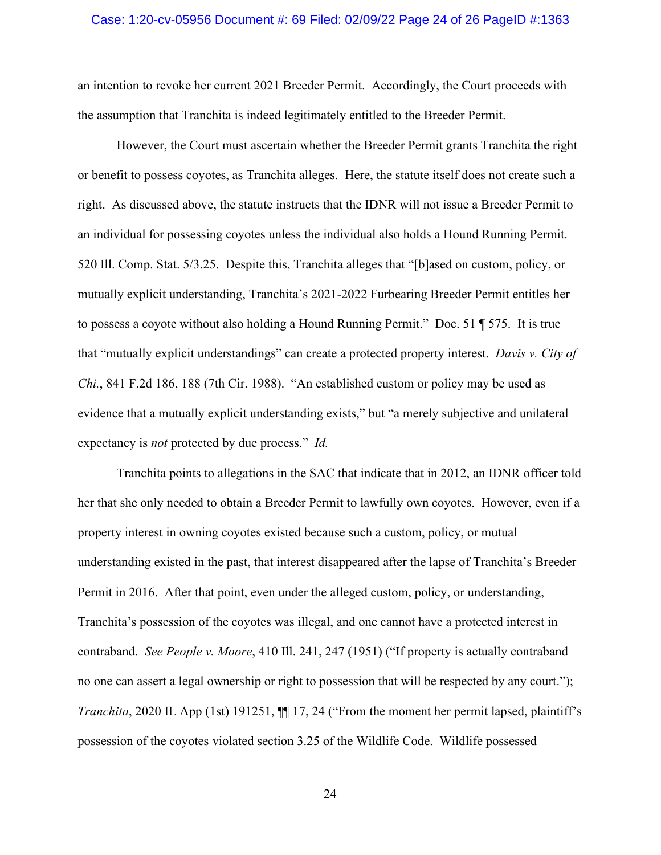## Case: 1:20-cv-05956 Document #: 69 Filed: 02/09/22 Page 24 of 26 PageID #:1363

an intention to revoke her current 2021 Breeder Permit. Accordingly, the Court proceeds with the assumption that Tranchita is indeed legitimately entitled to the Breeder Permit.

However, the Court must ascertain whether the Breeder Permit grants Tranchita the right or benefit to possess coyotes, as Tranchita alleges. Here, the statute itself does not create such a right. As discussed above, the statute instructs that the IDNR will not issue a Breeder Permit to an individual for possessing coyotes unless the individual also holds a Hound Running Permit. 520 Ill. Comp. Stat. 5/3.25. Despite this, Tranchita alleges that "[b]ased on custom, policy, or mutually explicit understanding, Tranchita's 2021-2022 Furbearing Breeder Permit entitles her to possess a coyote without also holding a Hound Running Permit." Doc. 51 ¶ 575. It is true that "mutually explicit understandings" can create a protected property interest. *Davis v. City of Chi.*, 841 F.2d 186, 188 (7th Cir. 1988). "An established custom or policy may be used as evidence that a mutually explicit understanding exists," but "a merely subjective and unilateral expectancy is *not* protected by due process." *Id.*

Tranchita points to allegations in the SAC that indicate that in 2012, an IDNR officer told her that she only needed to obtain a Breeder Permit to lawfully own coyotes. However, even if a property interest in owning coyotes existed because such a custom, policy, or mutual understanding existed in the past, that interest disappeared after the lapse of Tranchita's Breeder Permit in 2016. After that point, even under the alleged custom, policy, or understanding, Tranchita's possession of the coyotes was illegal, and one cannot have a protected interest in contraband. *See People v. Moore*, 410 Ill. 241, 247 (1951) ("If property is actually contraband no one can assert a legal ownership or right to possession that will be respected by any court."); *Tranchita*, 2020 IL App (1st) 191251,  $\P$  17, 24 ("From the moment her permit lapsed, plaintiff's possession of the coyotes violated section 3.25 of the Wildlife Code. Wildlife possessed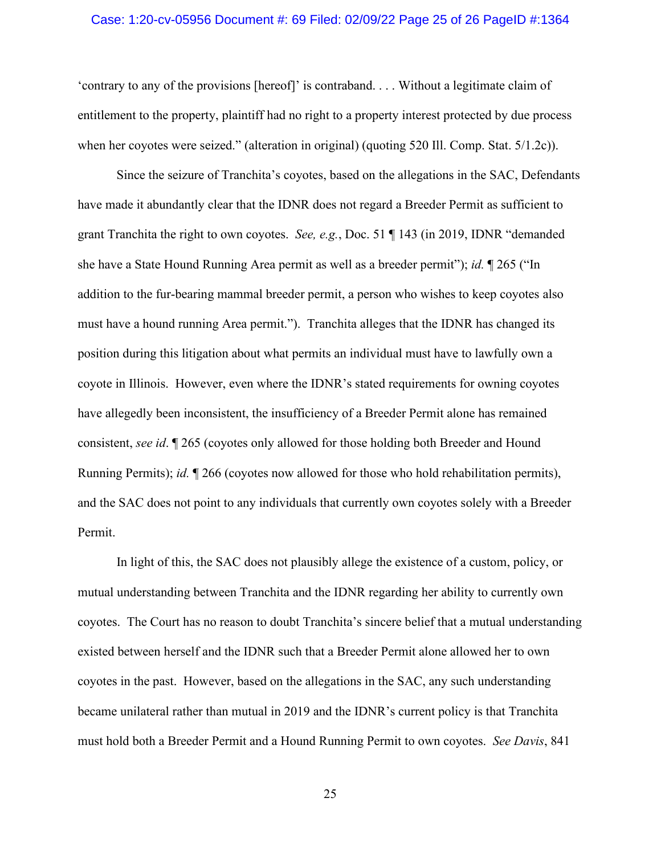## Case: 1:20-cv-05956 Document #: 69 Filed: 02/09/22 Page 25 of 26 PageID #:1364

'contrary to any of the provisions [hereof]' is contraband. . . . Without a legitimate claim of entitlement to the property, plaintiff had no right to a property interest protected by due process when her coyotes were seized." (alteration in original) (quoting 520 Ill. Comp. Stat. 5/1.2c)).

Since the seizure of Tranchita's coyotes, based on the allegations in the SAC, Defendants have made it abundantly clear that the IDNR does not regard a Breeder Permit as sufficient to grant Tranchita the right to own coyotes. *See, e.g.*, Doc. 51 ¶ 143 (in 2019, IDNR "demanded she have a State Hound Running Area permit as well as a breeder permit"); *id.* ¶ 265 ("In addition to the fur-bearing mammal breeder permit, a person who wishes to keep coyotes also must have a hound running Area permit."). Tranchita alleges that the IDNR has changed its position during this litigation about what permits an individual must have to lawfully own a coyote in Illinois. However, even where the IDNR's stated requirements for owning coyotes have allegedly been inconsistent, the insufficiency of a Breeder Permit alone has remained consistent, *see id*. ¶ 265 (coyotes only allowed for those holding both Breeder and Hound Running Permits); *id.* ¶ 266 (coyotes now allowed for those who hold rehabilitation permits), and the SAC does not point to any individuals that currently own coyotes solely with a Breeder Permit.

In light of this, the SAC does not plausibly allege the existence of a custom, policy, or mutual understanding between Tranchita and the IDNR regarding her ability to currently own coyotes. The Court has no reason to doubt Tranchita's sincere belief that a mutual understanding existed between herself and the IDNR such that a Breeder Permit alone allowed her to own coyotes in the past. However, based on the allegations in the SAC, any such understanding became unilateral rather than mutual in 2019 and the IDNR's current policy is that Tranchita must hold both a Breeder Permit and a Hound Running Permit to own coyotes. *See Davis*, 841